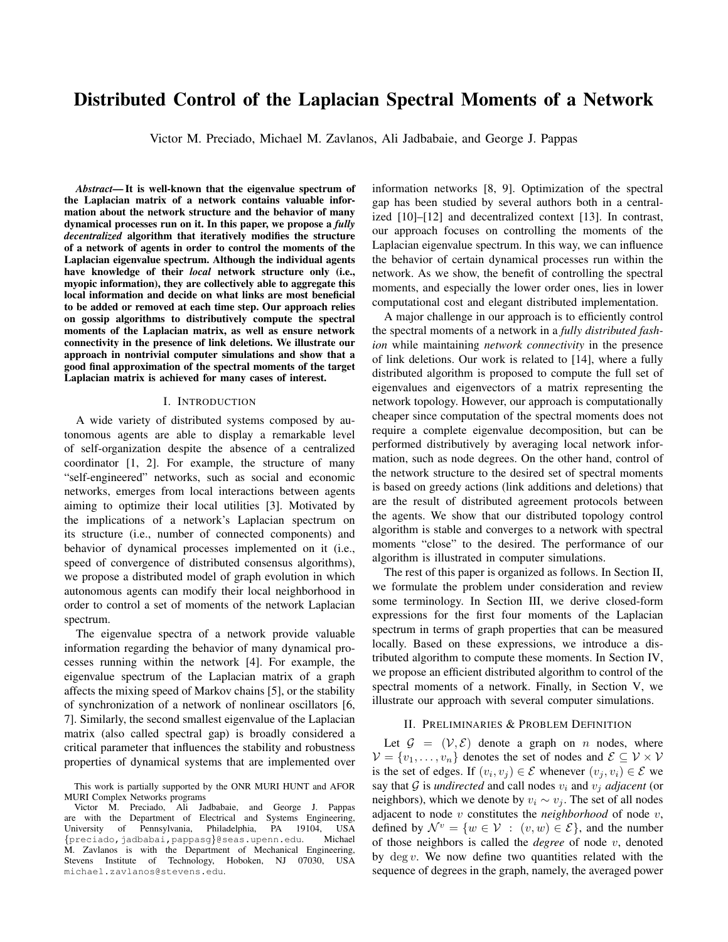# Distributed Control of the Laplacian Spectral Moments of a Network

Victor M. Preciado, Michael M. Zavlanos, Ali Jadbabaie, and George J. Pappas

*Abstract*— It is well-known that the eigenvalue spectrum of the Laplacian matrix of a network contains valuable information about the network structure and the behavior of many dynamical processes run on it. In this paper, we propose a *fully decentralized* algorithm that iteratively modifies the structure of a network of agents in order to control the moments of the Laplacian eigenvalue spectrum. Although the individual agents have knowledge of their *local* network structure only (i.e., myopic information), they are collectively able to aggregate this local information and decide on what links are most beneficial to be added or removed at each time step. Our approach relies on gossip algorithms to distributively compute the spectral moments of the Laplacian matrix, as well as ensure network connectivity in the presence of link deletions. We illustrate our approach in nontrivial computer simulations and show that a good final approximation of the spectral moments of the target Laplacian matrix is achieved for many cases of interest.

#### I. INTRODUCTION

A wide variety of distributed systems composed by autonomous agents are able to display a remarkable level of self-organization despite the absence of a centralized coordinator [1, 2]. For example, the structure of many "self-engineered" networks, such as social and economic networks, emerges from local interactions between agents aiming to optimize their local utilities [3]. Motivated by the implications of a network's Laplacian spectrum on its structure (i.e., number of connected components) and behavior of dynamical processes implemented on it (i.e., speed of convergence of distributed consensus algorithms), we propose a distributed model of graph evolution in which autonomous agents can modify their local neighborhood in order to control a set of moments of the network Laplacian spectrum.

The eigenvalue spectra of a network provide valuable information regarding the behavior of many dynamical processes running within the network [4]. For example, the eigenvalue spectrum of the Laplacian matrix of a graph affects the mixing speed of Markov chains [5], or the stability of synchronization of a network of nonlinear oscillators [6, 7]. Similarly, the second smallest eigenvalue of the Laplacian matrix (also called spectral gap) is broadly considered a critical parameter that influences the stability and robustness properties of dynamical systems that are implemented over

information networks [8, 9]. Optimization of the spectral gap has been studied by several authors both in a centralized [10]–[12] and decentralized context [13]. In contrast, our approach focuses on controlling the moments of the Laplacian eigenvalue spectrum. In this way, we can influence the behavior of certain dynamical processes run within the network. As we show, the benefit of controlling the spectral moments, and especially the lower order ones, lies in lower computational cost and elegant distributed implementation.

A major challenge in our approach is to efficiently control the spectral moments of a network in a *fully distributed fashion* while maintaining *network connectivity* in the presence of link deletions. Our work is related to [14], where a fully distributed algorithm is proposed to compute the full set of eigenvalues and eigenvectors of a matrix representing the network topology. However, our approach is computationally cheaper since computation of the spectral moments does not require a complete eigenvalue decomposition, but can be performed distributively by averaging local network information, such as node degrees. On the other hand, control of the network structure to the desired set of spectral moments is based on greedy actions (link additions and deletions) that are the result of distributed agreement protocols between the agents. We show that our distributed topology control algorithm is stable and converges to a network with spectral moments "close" to the desired. The performance of our algorithm is illustrated in computer simulations.

The rest of this paper is organized as follows. In Section II, we formulate the problem under consideration and review some terminology. In Section III, we derive closed-form expressions for the first four moments of the Laplacian spectrum in terms of graph properties that can be measured locally. Based on these expressions, we introduce a distributed algorithm to compute these moments. In Section IV, we propose an efficient distributed algorithm to control of the spectral moments of a network. Finally, in Section V, we illustrate our approach with several computer simulations.

#### II. PRELIMINARIES & PROBLEM DEFINITION

Let  $G = (\mathcal{V}, \mathcal{E})$  denote a graph on n nodes, where  $\mathcal{V} = \{v_1, \ldots, v_n\}$  denotes the set of nodes and  $\mathcal{E} \subseteq \mathcal{V} \times \mathcal{V}$ is the set of edges. If  $(v_i, v_j) \in \mathcal{E}$  whenever  $(v_j, v_i) \in \mathcal{E}$  we say that  $G$  is *undirected* and call nodes  $v_i$  and  $v_j$  *adjacent* (or neighbors), which we denote by  $v_i \sim v_j$ . The set of all nodes adjacent to node v constitutes the *neighborhood* of node v, defined by  $\mathcal{N}^v = \{w \in \mathcal{V} : (v, w) \in \mathcal{E}\}$ , and the number of those neighbors is called the *degree* of node v, denoted by  $\deg v$ . We now define two quantities related with the sequence of degrees in the graph, namely, the averaged power

This work is partially supported by the ONR MURI HUNT and AFOR MURI Complex Networks programs

Victor M. Preciado, Ali Jadbabaie, and George J. Pappas are with the Department of Electrical and Systems Engineering,<br>University of Pennsylvania, Philadelphia, PA 19104, USA University of Pennsylvania, Philadelphia, {preciado,jadbabai,pappasg}@seas.upenn.edu. Michael M. Zavlanos is with the Department of Mechanical Engineering, Stevens Institute of Technology, Hoboken, NJ 07030, USA michael.zavlanos@stevens.edu.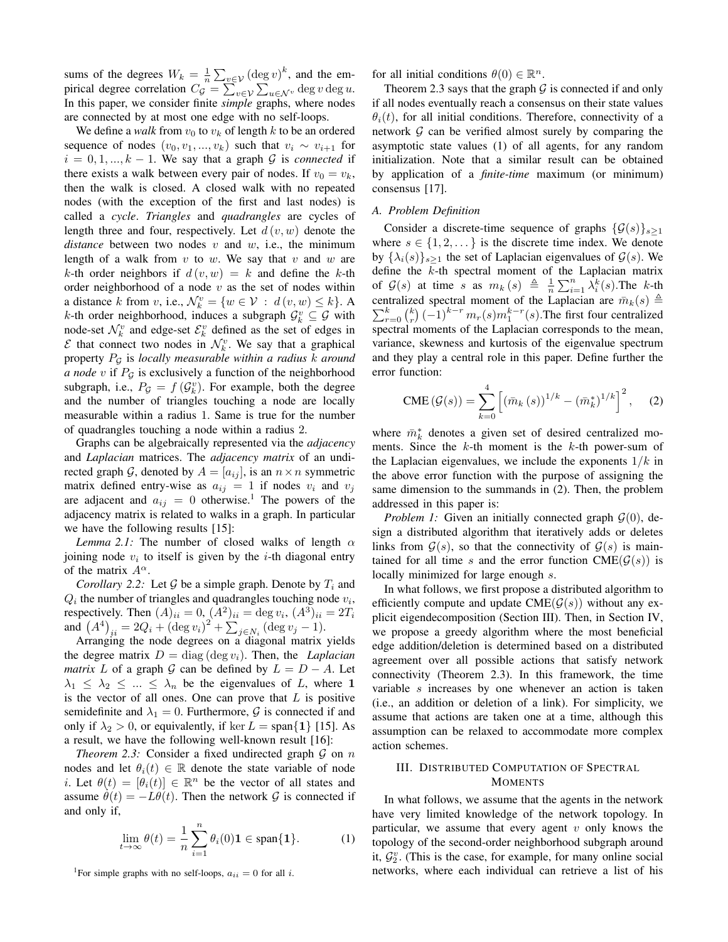sums of the degrees  $W_k = \frac{1}{n} \sum_{v \in \mathcal{V}} (\deg v)^k$ , and the empirical degree correlation  $C_g = \sum_{v \in \mathcal{V}} \sum_{u \in \mathcal{N}^v} \deg v \deg u$ . In this paper, we consider finite *simple* graphs, where nodes are connected by at most one edge with no self-loops.

We define a *walk* from  $v_0$  to  $v_k$  of length k to be an ordered sequence of nodes  $(v_0, v_1, ..., v_k)$  such that  $v_i \sim v_{i+1}$  for  $i = 0, 1, ..., k - 1$ . We say that a graph G is *connected* if there exists a walk between every pair of nodes. If  $v_0 = v_k$ , then the walk is closed. A closed walk with no repeated nodes (with the exception of the first and last nodes) is called a *cycle*. *Triangles* and *quadrangles* are cycles of length three and four, respectively. Let  $d(v, w)$  denote the *distance* between two nodes v and w, i.e., the minimum length of a walk from  $v$  to  $w$ . We say that  $v$  and  $w$  are k-th order neighbors if  $d(v, w) = k$  and define the k-th order neighborhood of a node  $v$  as the set of nodes within a distance k from v, i.e.,  $\mathcal{N}_k^v = \{w \in \mathcal{V} : d(v, w) \leq k\}$ . A k-th order neighborhood, induces a subgraph  $\mathcal{G}_k^v \subseteq \mathcal{G}$  with node-set  $\mathcal{N}_k^v$  and edge-set  $\mathcal{E}_k^v$  defined as the set of edges in  $\mathcal{E}$  that connect two nodes in  $\mathcal{N}_k^v$ . We say that a graphical property P<sup>G</sup> is *locally measurable within a radius* k *around a node*  $v$  if  $P_g$  is exclusively a function of the neighborhood subgraph, i.e.,  $P_{\mathcal{G}} = f(\mathcal{G}_k^v)$ . For example, both the degree and the number of triangles touching a node are locally measurable within a radius 1. Same is true for the number of quadrangles touching a node within a radius 2.

Graphs can be algebraically represented via the *adjacency* and *Laplacian* matrices. The *adjacency matrix* of an undirected graph G, denoted by  $A = [a_{ij}]$ , is an  $n \times n$  symmetric matrix defined entry-wise as  $a_{ij} = 1$  if nodes  $v_i$  and  $v_j$ are adjacent and  $a_{ij} = 0$  otherwise.<sup>1</sup> The powers of the adjacency matrix is related to walks in a graph. In particular we have the following results [15]:

*Lemma 2.1:* The number of closed walks of length  $\alpha$ joining node  $v_i$  to itself is given by the *i*-th diagonal entry of the matrix  $A^{\alpha}$ .

*Corollary 2.2:* Let  $\mathcal G$  be a simple graph. Denote by  $T_i$  and  $Q_i$  the number of triangles and quadrangles touching node  $v_i$ , respectively. Then  $(A)_{ii} = 0$ ,  $(A^2)_{ii} = \deg v_i$ ,  $(A^3)_{ii} = 2T_i$ and  $(A^4)_{ii} = 2Q_i + (\text{deg } v_i)^2 + \sum_{j \in N_i} (\text{deg } v_j - 1).$ 

Arranging the node degrees on a diagonal matrix yields the degree matrix  $D = diag(\deg v_i)$ . Then, the *Laplacian matrix* L of a graph G can be defined by  $L = D - A$ . Let  $\lambda_1 \leq \lambda_2 \leq \ldots \leq \lambda_n$  be the eigenvalues of L, where 1 is the vector of all ones. One can prove that  $L$  is positive semidefinite and  $\lambda_1 = 0$ . Furthermore, G is connected if and only if  $\lambda_2 > 0$ , or equivalently, if ker  $L = \text{span}\{1\}$  [15]. As a result, we have the following well-known result [16]:

*Theorem 2.3:* Consider a fixed undirected graph  $G$  on  $n$ nodes and let  $\theta_i(t) \in \mathbb{R}$  denote the state variable of node *i*. Let  $\theta(t) = [\theta_i(t)] \in \mathbb{R}^n$  be the vector of all states and assume  $\dot{\theta}(t) = -L\theta(t)$ . Then the network G is connected if and only if,

$$
\lim_{t \to \infty} \theta(t) = \frac{1}{n} \sum_{i=1}^{n} \theta_i(0) \mathbf{1} \in \text{span}\{\mathbf{1}\}. \tag{1}
$$

<sup>1</sup>For simple graphs with no self-loops,  $a_{ii} = 0$  for all *i*.

for all initial conditions  $\theta(0) \in \mathbb{R}^n$ .

Theorem 2.3 says that the graph  $G$  is connected if and only if all nodes eventually reach a consensus on their state values  $\theta_i(t)$ , for all initial conditions. Therefore, connectivity of a network  $G$  can be verified almost surely by comparing the asymptotic state values (1) of all agents, for any random initialization. Note that a similar result can be obtained by application of a *finite-time* maximum (or minimum) consensus [17].

# *A. Problem Definition*

Consider a discrete-time sequence of graphs  $\{\mathcal{G}(s)\}_{s\geq 1}$ where  $s \in \{1, 2, \dots\}$  is the discrete time index. We denote by  $\{\lambda_i(s)\}_{s\geq 1}$  the set of Laplacian eigenvalues of  $\mathcal{G}(s)$ . We define the k-th spectral moment of the Laplacian matrix of  $\mathcal{G}(s)$  at time s as  $m_k(s) \triangleq \frac{1}{n} \sum_{i=1}^n \lambda_i^k(s)$ . The k-th  $\sum_{r=0}^{k} \binom{k}{r} (-1)^{k-r} m_r(s) m_1^{k-r}(s)$ . The first four centralized centralized spectral moment of the Laplacian are  $\bar{m}_k(s) \triangleq$ spectral moments of the Laplacian corresponds to the mean, variance, skewness and kurtosis of the eigenvalue spectrum and they play a central role in this paper. Define further the error function:

$$
CME\left(\mathcal{G}(s)\right) = \sum_{k=0}^{4} \left[ \left(\bar{m}_k\left(s\right)\right)^{1/k} - \left(\bar{m}_k^*\right)^{1/k} \right]^2, \quad (2)
$$

where  $\bar{m}_k^*$  denotes a given set of desired centralized moments. Since the  $k$ -th moment is the  $k$ -th power-sum of the Laplacian eigenvalues, we include the exponents  $1/k$  in the above error function with the purpose of assigning the same dimension to the summands in (2). Then, the problem addressed in this paper is:

*Problem 1:* Given an initially connected graph  $\mathcal{G}(0)$ , design a distributed algorithm that iteratively adds or deletes links from  $G(s)$ , so that the connectivity of  $G(s)$  is maintained for all time s and the error function CME( $G(s)$ ) is locally minimized for large enough s.

In what follows, we first propose a distributed algorithm to efficiently compute and update  $CME(\mathcal{G}(s))$  without any explicit eigendecomposition (Section III). Then, in Section IV, we propose a greedy algorithm where the most beneficial edge addition/deletion is determined based on a distributed agreement over all possible actions that satisfy network connectivity (Theorem 2.3). In this framework, the time variable s increases by one whenever an action is taken (i.e., an addition or deletion of a link). For simplicity, we assume that actions are taken one at a time, although this assumption can be relaxed to accommodate more complex action schemes.

## III. DISTRIBUTED COMPUTATION OF SPECTRAL **MOMENTS**

In what follows, we assume that the agents in the network have very limited knowledge of the network topology. In particular, we assume that every agent  $v$  only knows the topology of the second-order neighborhood subgraph around it,  $\mathcal{G}_2^v$ . (This is the case, for example, for many online social networks, where each individual can retrieve a list of his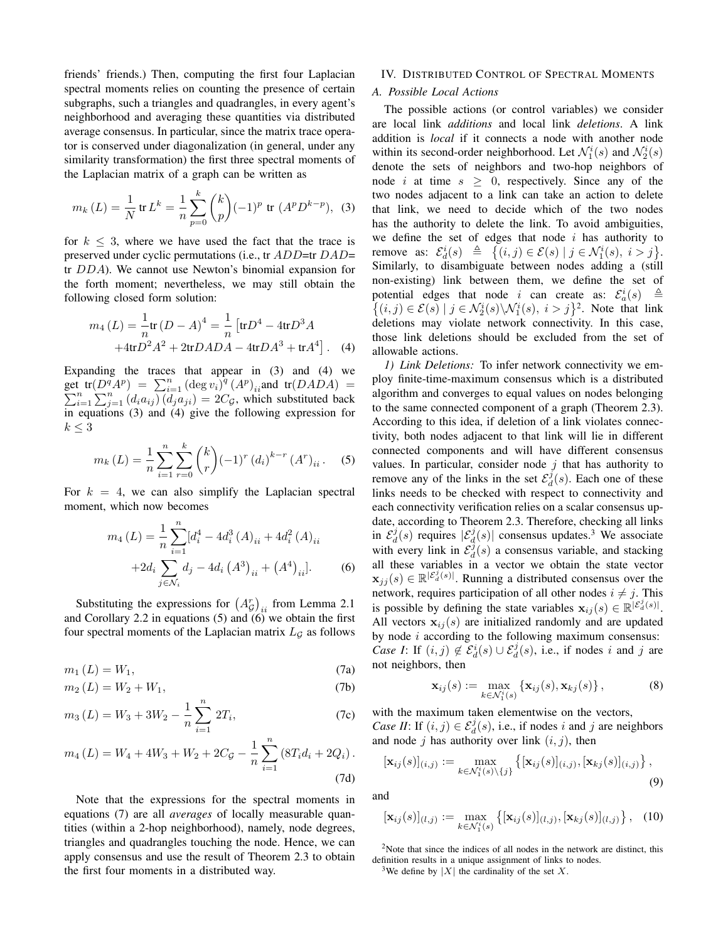friends' friends.) Then, computing the first four Laplacian spectral moments relies on counting the presence of certain subgraphs, such a triangles and quadrangles, in every agent's neighborhood and averaging these quantities via distributed average consensus. In particular, since the matrix trace operator is conserved under diagonalization (in general, under any similarity transformation) the first three spectral moments of the Laplacian matrix of a graph can be written as

$$
m_k(L) = \frac{1}{N} \operatorname{tr} L^k = \frac{1}{n} \sum_{p=0}^k {k \choose p} (-1)^p \operatorname{tr} (A^p D^{k-p}), \tag{3}
$$

for  $k \leq 3$ , where we have used the fact that the trace is preserved under cyclic permutations (i.e., tr ADD=tr DAD= tr DDA). We cannot use Newton's binomial expansion for the forth moment; nevertheless, we may still obtain the following closed form solution:

$$
m_4(L) = \frac{1}{n} \text{tr}(D - A)^4 = \frac{1}{n} \left[ \text{tr}D^4 - 4 \text{tr}D^3 A + 4 \text{tr}D^2 A^2 + 2 \text{tr}D A D A - 4 \text{tr}D A^3 + \text{tr}A^4 \right].
$$
 (4)

Expanding the traces that appear in (3) and (4) we get  $tr(D^q A^p) = \sum_{i=1}^n (\deg v_i)^q (A^p)_{ii}$ <br>  $\sum_{i=1}^n \sum_{i=1}^n (d_i a_{ij}) (d_i a_{ii}) = 2C_q$ , whi t tr $(D^q A^p) = \sum_{i=1}^n (\deg v_i)^q (A^p)_{ii}$ and tr $(DADA) = \sum_{i=1}^n \sum_{j=1}^n (d_i a_{ij}) (d_j a_{ji}) = 2C_{\mathcal{G}}$ , which substituted back in equations (3) and (4) give the following expression for  $k \leq 3$ 

$$
m_k(L) = \frac{1}{n} \sum_{i=1}^{n} \sum_{r=0}^{k} {k \choose r} (-1)^r (d_i)^{k-r} (A^r)_{ii}.
$$
 (5)

For  $k = 4$ , we can also simplify the Laplacian spectral moment, which now becomes

$$
m_4(L) = \frac{1}{n} \sum_{i=1}^n [d_i^4 - 4d_i^3(A)_{ii} + 4d_i^2(A)_{ii} + 2d_i \sum_{j \in \mathcal{N}_i} d_j - 4d_i (A^3)_{ii} + (A^4)_{ii}].
$$
 (6)

Substituting the expressions for  $(A_{\mathcal{G}}^r)_{ii}$  from Lemma 2.1 and Corollary 2.2 in equations (5) and (6) we obtain the first four spectral moments of the Laplacian matrix  $L_{\mathcal{G}}$  as follows

$$
m_1(L) = W_1,\tag{7a}
$$

$$
m_2(L) = W_2 + W_1, \t\t(7b)
$$

$$
m_3(L) = W_3 + 3W_2 - \frac{1}{n} \sum_{i=1}^{n} 2T_i,
$$
 (7c)

$$
m_4(L) = W_4 + 4W_3 + W_2 + 2C_{\mathcal{G}} - \frac{1}{n} \sum_{i=1}^{n} \left( 8T_i d_i + 2Q_i \right).
$$
\n(7d)

Note that the expressions for the spectral moments in equations (7) are all *averages* of locally measurable quantities (within a 2-hop neighborhood), namely, node degrees, triangles and quadrangles touching the node. Hence, we can apply consensus and use the result of Theorem 2.3 to obtain the first four moments in a distributed way.

#### IV. DISTRIBUTED CONTROL OF SPECTRAL MOMENTS

## *A. Possible Local Actions*

The possible actions (or control variables) we consider are local link *additions* and local link *deletions*. A link addition is *local* if it connects a node with another node within its second-order neighborhood. Let  $\mathcal{N}_1^i(s)$  and  $\mathcal{N}_2^i(s)$ denote the sets of neighbors and two-hop neighbors of node i at time  $s \geq 0$ , respectively. Since any of the two nodes adjacent to a link can take an action to delete that link, we need to decide which of the two nodes has the authority to delete the link. To avoid ambiguities, we define the set of edges that node  $i$  has authority to remove as:  $\mathcal{E}_d^i(s) \triangleq \{ (i,j) \in \mathcal{E}(s) \mid j \in \mathcal{N}_1^i(s), i > j \}.$ Similarly, to disambiguate between nodes adding a (still non-existing) link between them, we define the set of potential edges that node *i* can create as:  $\mathcal{E}_a^i(s) \triangleq$  $\{(i,j)\in \mathcal{E}(s) \mid j \in \mathcal{N}_2^i(s) \setminus \mathcal{N}_1^i(s), i > j\}^2$ . Note that link deletions may violate network connectivity. In this case, those link deletions should be excluded from the set of allowable actions.

*1) Link Deletions:* To infer network connectivity we employ finite-time-maximum consensus which is a distributed algorithm and converges to equal values on nodes belonging to the same connected component of a graph (Theorem 2.3). According to this idea, if deletion of a link violates connectivity, both nodes adjacent to that link will lie in different connected components and will have different consensus values. In particular, consider node  $j$  that has authority to remove any of the links in the set  $\mathcal{E}_d^j(s)$ . Each one of these links needs to be checked with respect to connectivity and each connectivity verification relies on a scalar consensus update, according to Theorem 2.3. Therefore, checking all links in  $\mathcal{E}_d^j(s)$  requires  $|\mathcal{E}_d^j(s)|$  consensus updates.<sup>3</sup> We associate with every link in  $\mathcal{E}_{d}^{\tilde{j}}(s)$  a consensus variable, and stacking all these variables in a vector we obtain the state vector  $\mathbf{x}_{jj}(s) \in \mathbb{R}^{|\mathcal{E}_d^j(s)|}$ . Running a distributed consensus over the network, requires participation of all other nodes  $i \neq j$ . This is possible by defining the state variables  $\mathbf{x}_{ij}(s) \in \mathbb{R}^{|\mathcal{E}_d^j(s)|}$ . All vectors  $x_{ij}(s)$  are initialized randomly and are updated by node  $i$  according to the following maximum consensus: *Case I*: If  $(i, j) \notin \mathcal{E}_d^i(s) \cup \mathcal{E}_d^j(s)$ , i.e., if nodes i and j are not neighbors, then

$$
\mathbf{x}_{ij}(s) := \max_{k \in \mathcal{N}_1^i(s)} \left\{ \mathbf{x}_{ij}(s), \mathbf{x}_{kj}(s) \right\},\tag{8}
$$

with the maximum taken elementwise on the vectors, *Case II*: If  $(i, j) \in \mathcal{E}_d^j(s)$ , i.e., if nodes i and j are neighbors and node j has authority over link  $(i, j)$ , then

$$
[\mathbf{x}_{ij}(s)]_{(i,j)} := \max_{k \in \mathcal{N}_1^i(s) \setminus \{j\}} \left\{ [\mathbf{x}_{ij}(s)]_{(i,j)}, [\mathbf{x}_{kj}(s)]_{(i,j)} \right\},\tag{9}
$$

and

$$
[\mathbf{x}_{ij}(s)]_{(l,j)} := \max_{k \in \mathcal{N}_1^i(s)} \{ [\mathbf{x}_{ij}(s)]_{(l,j)}, [\mathbf{x}_{kj}(s)]_{(l,j)} \}, \quad (10)
$$

 $2$ Note that since the indices of all nodes in the network are distinct, this definition results in a unique assignment of links to nodes.

<sup>3</sup>We define by  $|X|$  the cardinality of the set X.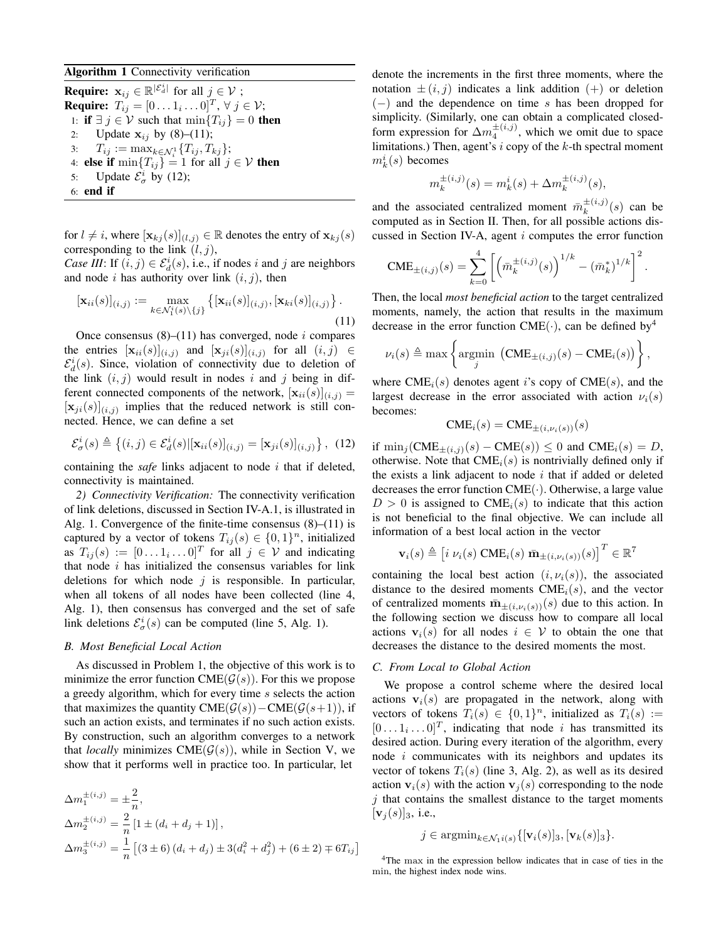# Algorithm 1 Connectivity verification

**Require:**  $\mathbf{x}_{ij} \in \mathbb{R}^{|\mathcal{E}_{d}^{i}|}$  for all  $j \in \mathcal{V}$  ; **Require:**  $T_{ij} = [0 \dots 1_i \dots 0]^T$ ,  $\forall j \in \mathcal{V}$ ; 1: **if**  $\exists j \in V$  such that  $\min\{T_{ij}\}=0$  **then** 2: Update  $x_{ij}$  by (8)–(11); 3:  $T_{ij} := \max_{k \in \mathcal{N}_i^1} \{ T_{ij}, T_{kj} \};$ 4: **else if**  $\min\{T_{ij}\} = 1$  for all  $j \in V$  then 5: Update  $\mathcal{E}_{\sigma}^{i}$  by (12); 6: end if

for  $l \neq i$ , where  $[\mathbf{x}_{kj}(s)]_{(l,j)} \in \mathbb{R}$  denotes the entry of  $\mathbf{x}_{kj}(s)$ corresponding to the link  $(l, j)$ ,

*Case III*: If  $(i, j) \in \mathcal{E}_d^i(s)$ , i.e., if nodes i and j are neighbors and node i has authority over link  $(i, j)$ , then

$$
[\mathbf{x}_{ii}(s)]_{(i,j)} := \max_{k \in \mathcal{N}_1^i(s) \setminus \{j\}} \left\{ [\mathbf{x}_{ii}(s)]_{(i,j)}, [\mathbf{x}_{ki}(s)]_{(i,j)} \right\}.
$$
\n(11)

Once consensus  $(8)$ – $(11)$  has converged, node *i* compares the entries  $[\mathbf{x}_{ii}(s)]_{(i,j)}$  and  $[\mathbf{x}_{ji}(s)]_{(i,j)}$  for all  $(i,j) \in$  $\mathcal{E}_d^i(s)$ . Since, violation of connectivity due to deletion of the link  $(i, j)$  would result in nodes i and j being in different connected components of the network,  $[\mathbf{x}_{ii}(s)]_{(i,j)} =$  $[\mathbf{x}_{ji}(s)]_{(i,j)}$  implies that the reduced network is still connected. Hence, we can define a set

$$
\mathcal{E}_{\sigma}^{i}(s) \triangleq \{(i,j) \in \mathcal{E}_{d}^{i}(s) | [\mathbf{x}_{ii}(s)]_{(i,j)} = [\mathbf{x}_{ji}(s)]_{(i,j)} \}, (12)
$$

containing the *safe* links adjacent to node i that if deleted, connectivity is maintained.

*2) Connectivity Verification:* The connectivity verification of link deletions, discussed in Section IV-A.1, is illustrated in Alg. 1. Convergence of the finite-time consensus (8)–(11) is captured by a vector of tokens  $T_{ij}(s) \in \{0,1\}^n$ , initialized as  $T_{ij}(s) := [0 \dots 1_i \dots 0]^T$  for all  $j \in V$  and indicating that node  $i$  has initialized the consensus variables for link deletions for which node  $j$  is responsible. In particular, when all tokens of all nodes have been collected (line 4, Alg. 1), then consensus has converged and the set of safe link deletions  $\mathcal{E}^i_{\sigma}(s)$  can be computed (line 5, Alg. 1).

## *B. Most Beneficial Local Action*

As discussed in Problem 1, the objective of this work is to minimize the error function  $\text{CME}(\mathcal{G}(s))$ . For this we propose a greedy algorithm, which for every time s selects the action that maximizes the quantity  $\text{CME}(\mathcal{G}(s))-\text{CME}(\mathcal{G}(s+1))$ , if such an action exists, and terminates if no such action exists. By construction, such an algorithm converges to a network that *locally* minimizes CME $(\mathcal{G}(s))$ , while in Section V, we show that it performs well in practice too. In particular, let

$$
\Delta m_1^{\pm(i,j)} = \pm \frac{2}{n},
$$
  
\n
$$
\Delta m_2^{\pm(i,j)} = \frac{2}{n} [1 \pm (d_i + d_j + 1)],
$$
  
\n
$$
\Delta m_3^{\pm(i,j)} = \frac{1}{n} [(3 \pm 6) (d_i + d_j) \pm 3(d_i^2 + d_j^2) + (6 \pm 2) \mp 6T_{ij}]
$$

denote the increments in the first three moments, where the notation  $\pm (i, j)$  indicates a link addition  $(+)$  or deletion (−) and the dependence on time s has been dropped for simplicity. (Similarly, one can obtain a complicated closedform expression for  $\Delta m_4^{\pm(i,j)}$ , which we omit due to space limitations.) Then, agent's  $i$  copy of the  $k$ -th spectral moment  $m_k^i(s)$  becomes

$$
m_k^{\pm(i,j)}(s) = m_k^i(s) + \Delta m_k^{\pm(i,j)}(s),
$$

and the associated centralized moment  $\bar{m}_k^{\pm(i,j)}$  $_k^{\pm (i,j)}(s)$  can be computed as in Section II. Then, for all possible actions discussed in Section IV-A, agent i computes the error function

$$
CME_{\pm(i,j)}(s) = \sum_{k=0}^{4} \left[ \left( \bar{m}_k^{\pm(i,j)}(s) \right)^{1/k} - \left( \bar{m}_k^* \right)^{1/k} \right]^2.
$$

Then, the local *most beneficial action* to the target centralized moments, namely, the action that results in the maximum decrease in the error function CME( $\cdot$ ), can be defined by<sup>4</sup>

$$
\nu_i(s) \triangleq \max \left\{\underset{j}{\text{argmin}} \left( \text{CME}_{\pm(i,j)}(s) - \text{CME}_i(s) \right) \right\},\,
$$

where  $CME_i(s)$  denotes agent i's copy of  $CME(s)$ , and the largest decrease in the error associated with action  $\nu_i(s)$ becomes:

$$
CME_i(s) = CME_{\pm(i,\nu_i(s))}(s)
$$

if  $\min_j(\text{CME}_{\pm(i,j)}(s) - \text{CME}(s)) \leq 0$  and  $\text{CME}_i(s) = D$ , otherwise. Note that  $CME<sub>i</sub>(s)$  is nontrivially defined only if the exists a link adjacent to node  $i$  that if added or deleted decreases the error function  $CME(\cdot)$ . Otherwise, a large value  $D > 0$  is assigned to CME<sub>i</sub>(s) to indicate that this action is not beneficial to the final objective. We can include all information of a best local action in the vector

$$
\mathbf{v}_i(s) \triangleq \begin{bmatrix} i & \nu_i(s) \ \text{CME}_i(s) \ \bar{\mathbf{m}}_{\pm(i,\nu_i(s))}(s) \end{bmatrix}^T \in \mathbb{R}^7
$$

containing the local best action  $(i, \nu_i(s))$ , the associated distance to the desired moments  $CME<sub>i</sub>(s)$ , and the vector of centralized moments  $\bar{\mathbf{m}}_{\pm}(i,\nu_i(s))(s)$  due to this action. In the following section we discuss how to compare all local actions  $v_i(s)$  for all nodes  $i \in V$  to obtain the one that decreases the distance to the desired moments the most.

# *C. From Local to Global Action*

We propose a control scheme where the desired local actions  $v_i(s)$  are propagated in the network, along with vectors of tokens  $T_i(s) \in \{0,1\}^n$ , initialized as  $T_i(s) :=$  $[0 \dots 1_i \dots 0]^T$ , indicating that node *i* has transmitted its desired action. During every iteration of the algorithm, every node i communicates with its neighbors and updates its vector of tokens  $T_i(s)$  (line 3, Alg. 2), as well as its desired action  $v_i(s)$  with the action  $v_j(s)$  corresponding to the node  $j$  that contains the smallest distance to the target moments  $[v_j(s)]_3$ , i.e.,

$$
j \in \operatorname{argmin}_{k \in \mathcal{N}_1}{\left\{ \left[ \mathbf{v}_i(s) \right]_3, \left[ \mathbf{v}_k(s) \right]_3 \right\}}.
$$

<sup>4</sup>The max in the expression bellow indicates that in case of ties in the min, the highest index node wins.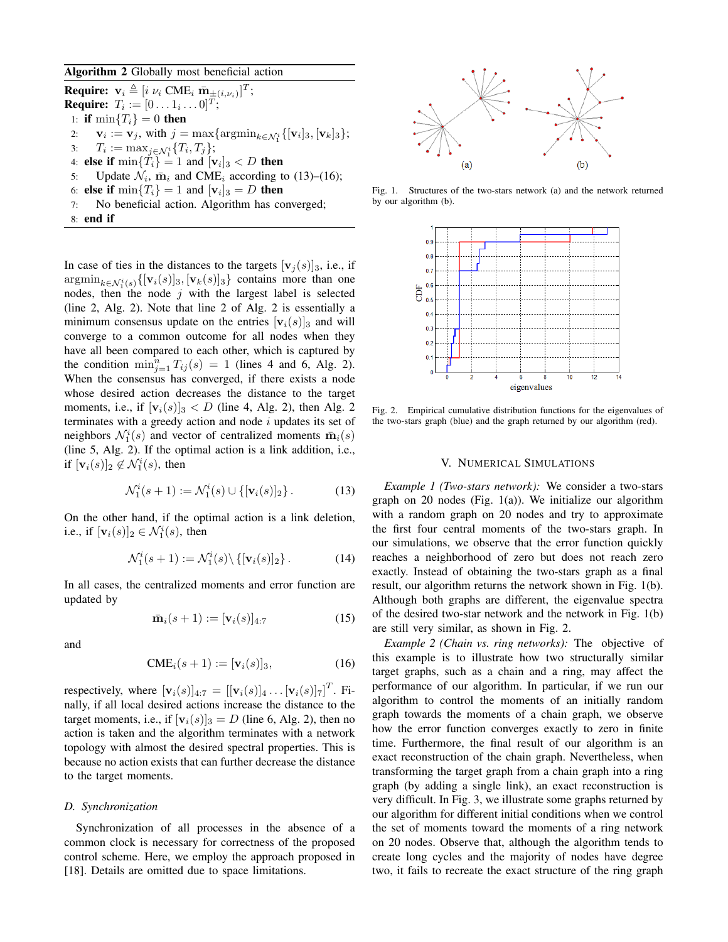#### Algorithm 2 Globally most beneficial action

**Require:**  $\mathbf{v}_i \triangleq [i \; \nu_i \; \text{CME}_i \; \bar{\mathbf{m}}_{\pm (i, \nu_i)}]^T;$ **Require:**  $T_i := [0 \dots 1_i \dots 0]^T;$ 1: if  $\min\{T_i\} = 0$  then 2:  $\mathbf{v}_i := \mathbf{v}_j$ , with  $j = \max_{i \in \mathcal{N}_1} \{ \argmin_{k \in \mathcal{N}_1^i} \{ [\mathbf{v}_i]_3, [\mathbf{v}_k]_3 \};$ 3:  $T_i := \max_{j \in \mathcal{N}_1^i} \{T_i, T_j\};$ 4: **else if**  $\min\{T_i\} = 1$  and  $[\mathbf{v}_i]_3 < D$  **then** 5: Update  $\mathcal{N}_i$ ,  $\bar{\mathbf{m}}_i$  and CME<sub>i</sub> according to (13)–(16); 6: **else if**  $\min\{T_i\} = 1$  and  $[\mathbf{v}_i]_3 = D$  **then** 7: No beneficial action. Algorithm has converged; 8: end if

In case of ties in the distances to the targets  $[v_i(s)]_3$ , i.e., if  $\mathrm{argmin}_{k \in \mathcal{N}_1^i(s)} \{[\mathbf{v}_i(s)]_3, [\mathbf{v}_k(s)]_3\}$  contains more than one nodes, then the node j with the largest label is selected (line 2, Alg. 2). Note that line 2 of Alg. 2 is essentially a minimum consensus update on the entries  $[v_i(s)]_3$  and will converge to a common outcome for all nodes when they have all been compared to each other, which is captured by the condition  $\min_{j=1}^n T_{ij}(s) = 1$  (lines 4 and 6, Alg. 2). When the consensus has converged, if there exists a node whose desired action decreases the distance to the target moments, i.e., if  $[v_i(s)]_3 < D$  (line 4, Alg. 2), then Alg. 2 terminates with a greedy action and node  $i$  updates its set of neighbors  $\mathcal{N}_1^i(s)$  and vector of centralized moments  $\bar{\mathbf{m}}_i(s)$ (line 5, Alg. 2). If the optimal action is a link addition, i.e., if  $[v_i(s)]_2 \notin \mathcal{N}_1^i(s)$ , then

$$
\mathcal{N}_1^i(s+1) := \mathcal{N}_1^i(s) \cup \{ [\mathbf{v}_i(s)]_2 \}.
$$
 (13)

On the other hand, if the optimal action is a link deletion, i.e., if  $[v_i(s)]_2 \in \mathcal{N}_1^i(s)$ , then

$$
\mathcal{N}_1^i(s+1) := \mathcal{N}_1^i(s) \setminus \{ [\mathbf{v}_i(s)]_2 \}.
$$
 (14)

In all cases, the centralized moments and error function are updated by

$$
\bar{\mathbf{m}}_i(s+1) := [\mathbf{v}_i(s)]_{4:7} \tag{15}
$$

and

$$
\text{CME}_i(s+1) := [\mathbf{v}_i(s)]_3,\tag{16}
$$

respectively, where  $[\mathbf{v}_i(s)]_{4:7} = [[\mathbf{v}_i(s)]_4 \dots [\mathbf{v}_i(s)]_7]^T$ . Finally, if all local desired actions increase the distance to the target moments, i.e., if  $[v_i(s)]_3 = D$  (line 6, Alg. 2), then no action is taken and the algorithm terminates with a network topology with almost the desired spectral properties. This is because no action exists that can further decrease the distance to the target moments.

#### *D. Synchronization*

Synchronization of all processes in the absence of a common clock is necessary for correctness of the proposed control scheme. Here, we employ the approach proposed in [18]. Details are omitted due to space limitations.



Fig. 1. Structures of the two-stars network (a) and the network returned by our algorithm (b).



Fig. 2. Empirical cumulative distribution functions for the eigenvalues of the two-stars graph (blue) and the graph returned by our algorithm (red).

### V. NUMERICAL SIMULATIONS

*Example 1 (Two-stars network):* We consider a two-stars graph on 20 nodes (Fig. 1(a)). We initialize our algorithm with a random graph on 20 nodes and try to approximate the first four central moments of the two-stars graph. In our simulations, we observe that the error function quickly reaches a neighborhood of zero but does not reach zero exactly. Instead of obtaining the two-stars graph as a final result, our algorithm returns the network shown in Fig. 1(b). Although both graphs are different, the eigenvalue spectra of the desired two-star network and the network in Fig. 1(b) are still very similar, as shown in Fig. 2.

*Example 2 (Chain vs. ring networks):* The objective of this example is to illustrate how two structurally similar target graphs, such as a chain and a ring, may affect the performance of our algorithm. In particular, if we run our algorithm to control the moments of an initially random graph towards the moments of a chain graph, we observe how the error function converges exactly to zero in finite time. Furthermore, the final result of our algorithm is an exact reconstruction of the chain graph. Nevertheless, when transforming the target graph from a chain graph into a ring graph (by adding a single link), an exact reconstruction is very difficult. In Fig. 3, we illustrate some graphs returned by our algorithm for different initial conditions when we control the set of moments toward the moments of a ring network on 20 nodes. Observe that, although the algorithm tends to create long cycles and the majority of nodes have degree two, it fails to recreate the exact structure of the ring graph